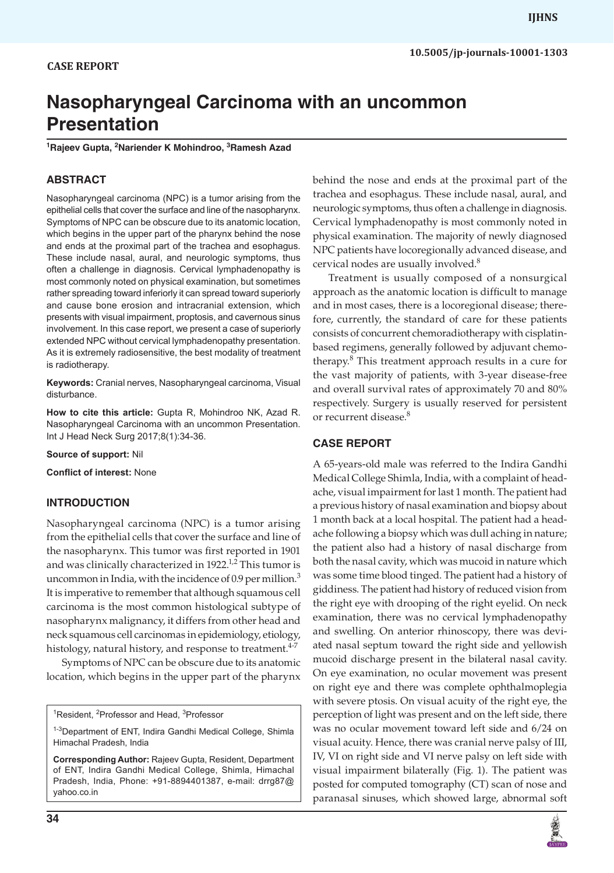# **Nasopharyngeal Carcinoma with an uncommon Presentation**

<sup>1</sup>Rajeev Gupta, <sup>2</sup>Nariender K Mohindroo, <sup>3</sup>Ramesh Azad

## **ABSTRACT**

Nasopharyngeal carcinoma (NPC) is a tumor arising from the epithelial cells that cover the surface and line of the nasopharynx. Symptoms of NPC can be obscure due to its anatomic location, which begins in the upper part of the pharynx behind the nose and ends at the proximal part of the trachea and esophagus. These include nasal, aural, and neurologic symptoms, thus often a challenge in diagnosis. Cervical lymphadenopathy is most commonly noted on physical examination, but sometimes rather spreading toward inferiorly it can spread toward superiorly and cause bone erosion and intracranial extension, which presents with visual impairment, proptosis, and cavernous sinus involvement. In this case report, we present a case of superiorly extended NPC without cervical lymphadenopathy presentation. As it is extremely radiosensitive, the best modality of treatment is radiotherapy.

**Keywords:** Cranial nerves, Nasopharyngeal carcinoma, Visual disturbance.

**How to cite this article:** Gupta R, Mohindroo NK, Azad R. Nasopharyngeal Carcinoma with an uncommon Presentation. Int J Head Neck Surg 2017;8(1):34-36.

**Source of support:** Nil

**Conflict of interest:** None

#### **INTRODUCTION**

Nasopharyngeal carcinoma (NPC) is a tumor arising from the epithelial cells that cover the surface and line of the nasopharynx. This tumor was first reported in 1901 and was clinically characterized in 1922.<sup>1,2</sup> This tumor is uncommon in India, with the incidence of 0.9 per million. $3$ It is imperative to remember that although squamous cell carcinoma is the most common histological subtype of nasopharynx malignancy, it differs from other head and neck squamous cell carcinomas in epidemiology, etiology, histology, natural history, and response to treatment.<sup>4-7</sup>

Symptoms of NPC can be obscure due to its anatomic location, which begins in the upper part of the pharynx

<sup>1</sup>Resident, <sup>2</sup>Professor and Head, <sup>3</sup>Professor

behind the nose and ends at the proximal part of the trachea and esophagus. These include nasal, aural, and neurologic symptoms, thus often a challenge in diagnosis. Cervical lymphadenopathy is most commonly noted in physical examination. The majority of newly diagnosed NPC patients have locoregionally advanced disease, and cervical nodes are usually involved.<sup>8</sup>

Treatment is usually composed of a nonsurgical approach as the anatomic location is difficult to manage and in most cases, there is a locoregional disease; therefore, currently, the standard of care for these patients consists of concurrent chemoradiotherapy with cisplatinbased regimens, generally followed by adjuvant chemotherapy.<sup>8</sup> This treatment approach results in a cure for the vast majority of patients, with 3-year disease-free and overall survival rates of approximately 70 and 80% respectively. Surgery is usually reserved for persistent or recurrent disease.<sup>8</sup>

### **CASE REPORT**

A 65-years-old male was referred to the Indira Gandhi Medical College Shimla, India, with a complaint of headache, visual impairment for last 1 month. The patient had a previous history of nasal examination and biopsy about 1 month back at a local hospital. The patient had a headache following a biopsy which was dull aching in nature; the patient also had a history of nasal discharge from both the nasal cavity, which was mucoid in nature which was some time blood tinged. The patient had a history of giddiness. The patient had history of reduced vision from the right eye with drooping of the right eyelid. On neck examination, there was no cervical lymphadenopathy and swelling. On anterior rhinoscopy, there was deviated nasal septum toward the right side and yellowish mucoid discharge present in the bilateral nasal cavity. On eye examination, no ocular movement was present on right eye and there was complete ophthalmoplegia with severe ptosis. On visual acuity of the right eye, the perception of light was present and on the left side, there was no ocular movement toward left side and 6/24 on visual acuity. Hence, there was cranial nerve palsy of III, IV, VI on right side and VI nerve palsy on left side with visual impairment bilaterally (Fig. 1). The patient was posted for computed tomography (CT) scan of nose and paranasal sinuses, which showed large, abnormal soft



<sup>&</sup>lt;sup>1-3</sup>Department of ENT, Indira Gandhi Medical College, Shimla Himachal Pradesh, India

**Corresponding Author:** Rajeev Gupta, Resident, Department of ENT, Indira Gandhi Medical College, Shimla, Himachal Pradesh, India, Phone: +91-8894401387, e-mail: drrg87@ yahoo.co.in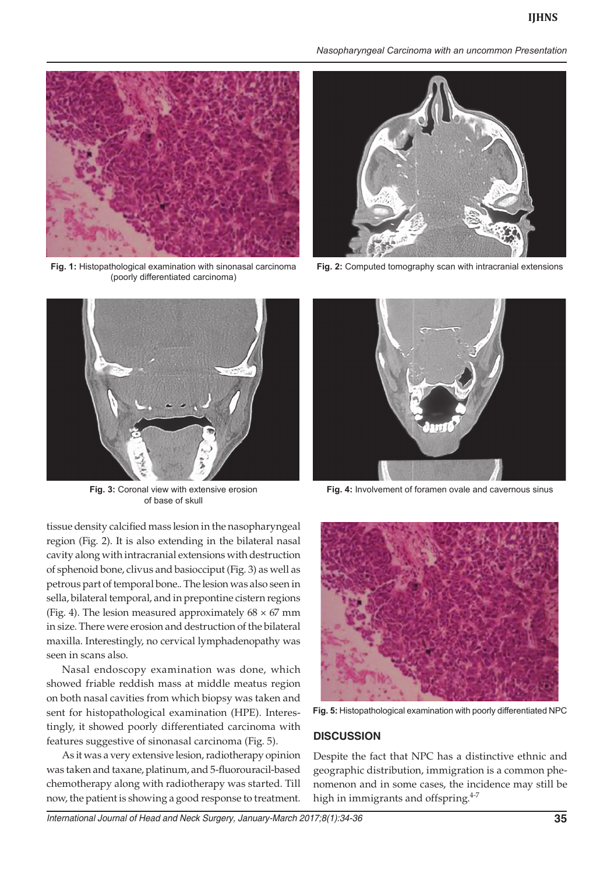

**Fig. 1:** Histopathological examination with sinonasal carcinoma (poorly differentiated carcinoma)



**Fig. 3:** Coronal view with extensive erosion of base of skull

tissue density calcified mass lesion in the nasopharyngeal region (Fig. 2). It is also extending in the bilateral nasal cavity along with intracranial extensions with destruction of sphenoid bone, clivus and basiocciput (Fig. 3) as well as petrous part of temporal bone.. The lesion was also seen in sella, bilateral temporal, and in prepontine cistern regions (Fig. 4). The lesion measured approximately  $68 \times 67$  mm in size. There were erosion and destruction of the bilateral maxilla. Interestingly, no cervical lymphadenopathy was seen in scans also.

Nasal endoscopy examination was done, which showed friable reddish mass at middle meatus region on both nasal cavities from which biopsy was taken and sent for histopathological examination (HPE). Interestingly, it showed poorly differentiated carcinoma with features suggestive of sinonasal carcinoma (Fig. 5).

As it was a very extensive lesion, radiotherapy opinion was taken and taxane, platinum, and 5-fluorouracil-based chemotherapy along with radiotherapy was started. Till now, the patient is showing a good response to treatment.

*Nasopharyngeal Carcinoma with an uncommon Presentation*



**Fig. 2:** Computed tomography scan with intracranial extensions



**Fig. 4:** Involvement of foramen ovale and cavernous sinus



**Fig. 5:** Histopathological examination with poorly differentiated NPC

#### **DISCUSSION**

Despite the fact that NPC has a distinctive ethnic and geographic distribution, immigration is a common phenomenon and in some cases, the incidence may still be high in immigrants and offspring.<sup>4-7</sup>

*International Journal of Head and Neck Surgery, January-March 2017;8(1):34-36* **35**